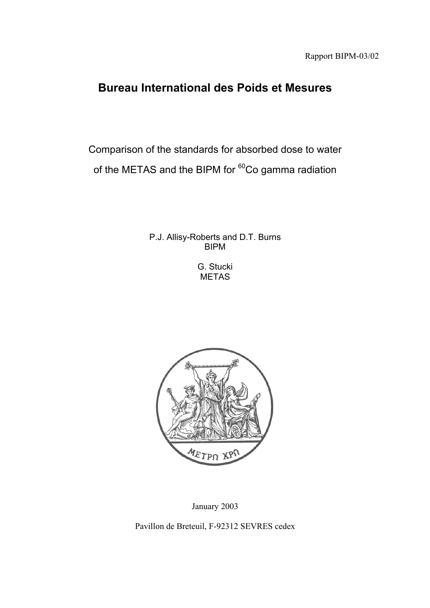# **Bureau International des Poids et Mesures**

Comparison of the standards for absorbed dose to water of the METAS and the BIPM for <sup>60</sup>Co gamma radiation

> P.J. Allisy-Roberts and D.T. Burns BIPM

> > G. Stucki METAS



January 2003

Pavillon de Breteuil, F-92312 SEVRES cedex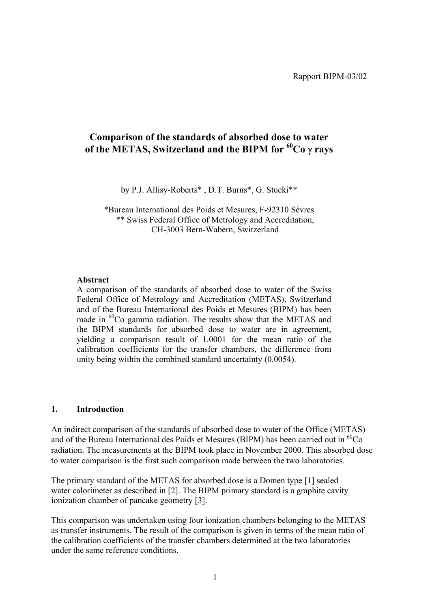# **Comparison of the standards of absorbed dose to water of the METAS, Switzerland and the BIPM for 60Co** γ **rays**

by P.J. Allisy-Roberts\* , D.T. Burns\*, G. Stucki\*\*

\*Bureau International des Poids et Mesures, F-92310 Sèvres \*\* Swiss Federal Office of Metrology and Accreditation, CH-3003 Bern-Wabern, Switzerland

#### **Abstract**

A comparison of the standards of absorbed dose to water of the Swiss Federal Office of Metrology and Accreditation (METAS), Switzerland and of the Bureau International des Poids et Mesures (BIPM) has been made in <sup>60</sup>Co gamma radiation. The results show that the METAS and the BIPM standards for absorbed dose to water are in agreement, yielding a comparison result of 1.0001 for the mean ratio of the calibration coefficients for the transfer chambers, the difference from unity being within the combined standard uncertainty (0.0054).

#### **1. Introduction**

An indirect comparison of the standards of absorbed dose to water of the Office (METAS) and of the Bureau International des Poids et Mesures (BIPM) has been carried out in  ${}^{60}Co$ radiation. The measurements at the BIPM took place in November 2000. This absorbed dose to water comparison is the first such comparison made between the two laboratories.

The primary standard of the METAS for absorbed dose is a Domen type [1] sealed water calorimeter as described in [2]. The BIPM primary standard is a graphite cavity ionization chamber of pancake geometry [3].

This comparison was undertaken using four ionization chambers belonging to the METAS as transfer instruments. The result of the comparison is given in terms of the mean ratio of the calibration coefficients of the transfer chambers determined at the two laboratories under the same reference conditions.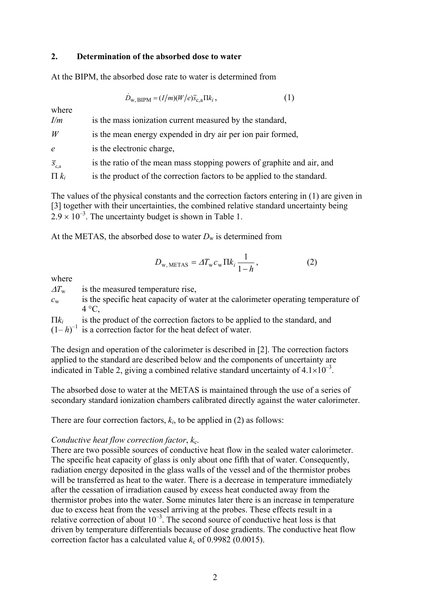#### **2. Determination of the absorbed dose to water**

At the BIPM, the absorbed dose rate to water is determined from

$$
\dot{D}_{\text{w},\text{BIPM}} = (I/m)(W/e)\bar{s}_{\text{c},\text{a}}\Pi k_i,\tag{1}
$$

| where                |                                                                         |
|----------------------|-------------------------------------------------------------------------|
| I/m                  | is the mass ionization current measured by the standard,                |
| W                    | is the mean energy expended in dry air per ion pair formed,             |
| $\epsilon$           | is the electronic charge,                                               |
| $\overline{S}_{c,a}$ | is the ratio of the mean mass stopping powers of graphite and air, and  |
| $\prod k_i$          | is the product of the correction factors to be applied to the standard. |

The values of the physical constants and the correction factors entering in (1) are given in [3] together with their uncertainties, the combined relative standard uncertainty being  $2.9 \times 10^{-3}$ . The uncertainty budget is shown in Table 1.

At the METAS, the absorbed dose to water  $D_w$  is determined from

$$
D_{\text{w,METAS}} = \Delta T_{\text{w}} c_{\text{w}} \Pi k_i \frac{1}{1 - h}, \qquad (2)
$$

where

 $\Delta T_w$  is the measured temperature rise,

*c*w is the specific heat capacity of water at the calorimeter operating temperature of  $4^{\circ}C$ .

Π*ki* is the product of the correction factors to be applied to the standard, and

 $(1-h)^{-1}$  is a correction factor for the heat defect of water.

The design and operation of the calorimeter is described in [2]. The correction factors applied to the standard are described below and the components of uncertainty are indicated in Table 2, giving a combined relative standard uncertainty of  $4.1 \times 10^{-3}$ .

The absorbed dose to water at the METAS is maintained through the use of a series of secondary standard ionization chambers calibrated directly against the water calorimeter.

There are four correction factors,  $k_i$ , to be applied in (2) as follows:

#### *Conductive heat flow correction factor,*  $k_c$ *.*

There are two possible sources of conductive heat flow in the sealed water calorimeter. The specific heat capacity of glass is only about one fifth that of water. Consequently, radiation energy deposited in the glass walls of the vessel and of the thermistor probes will be transferred as heat to the water. There is a decrease in temperature immediately after the cessation of irradiation caused by excess heat conducted away from the thermistor probes into the water. Some minutes later there is an increase in temperature due to excess heat from the vessel arriving at the probes. These effects result in a relative correction of about  $10^{-3}$ . The second source of conductive heat loss is that driven by temperature differentials because of dose gradients. The conductive heat flow correction factor has a calculated value  $k_c$  of 0.9982 (0.0015).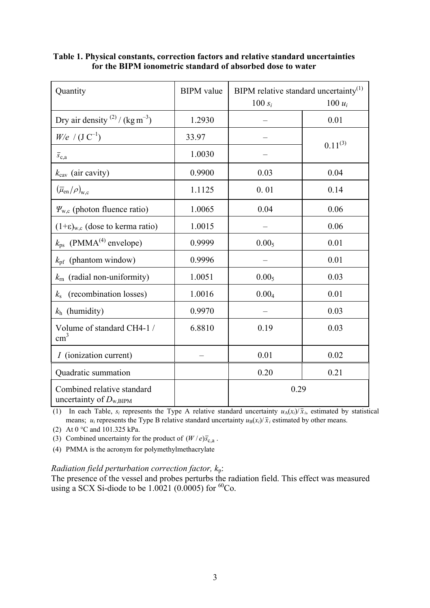| Quantity                                                  | <b>BIPM</b> value | BIPM relative standard uncertainty <sup>(1)</sup> |              |
|-----------------------------------------------------------|-------------------|---------------------------------------------------|--------------|
|                                                           |                   | $100 s_i$                                         | 100 $u_i$    |
| Dry air density $^{(2)}$ / (kg m <sup>-3</sup> )          | 1.2930            |                                                   | 0.01         |
| $W/e$ / $(J C^{-1})$                                      | 33.97             |                                                   | $0.11^{(3)}$ |
| $\overline{s}_\mathrm{c,a}$                               | 1.0030            |                                                   |              |
| $k_{\text{cav}}$ (air cavity)                             | 0.9900            | 0.03                                              | 0.04         |
| $(\overline{\mu}_{en}/\rho)_{w,c}$                        | 1.1125            | 0.01                                              | 0.14         |
| $\Psi_{w,c}$ (photon fluence ratio)                       | 1.0065            | 0.04                                              | 0.06         |
| $(1+\epsilon)_{w,c}$ (dose to kerma ratio)                | 1.0015            |                                                   | 0.06         |
| $k_{\text{ps}}$ (PMMA <sup>(4)</sup> envelope)            | 0.9999            | 0.00 <sub>5</sub>                                 | 0.01         |
| $k_{\text{pf}}$ (phantom window)                          | 0.9996            |                                                   | 0.01         |
| (radial non-uniformity)<br>$k_{\rm rn}$                   | 1.0051            | 0.00 <sub>5</sub>                                 | 0.03         |
| (recombination losses)<br>$k_{\rm s}$                     | 1.0016            | 0.004                                             | 0.01         |
| $k_h$ (humidity)                                          | 0.9970            |                                                   | 0.03         |
| Volume of standard CH4-1 /<br>$\text{cm}^3$               | 6.8810            | 0.19                                              | 0.03         |
| <i>I</i> (ionization current)                             |                   | 0.01                                              | 0.02         |
| Quadratic summation                                       |                   | 0.20                                              | 0.21         |
| Combined relative standard<br>uncertainty of $D_{w,BIPM}$ |                   | 0.29                                              |              |

**Table 1. Physical constants, correction factors and relative standard uncertainties for the BIPM ionometric standard of absorbed dose to water**

(1) In each Table,  $s_i$  represents the Type A relative standard uncertainty  $u_A(x_i)/\bar{x}_i$ , estimated by statistical means;  $u_i$  represents the Type B relative standard uncertainty  $u_B(x_i)/\bar{x}_i$  estimated by other means.

(2) At 0 °C and 101.325 kPa.

(3) Combined uncertainty for the product of  $(W / e)$ *s*<sub>c</sub><sub>a</sub>.

(4) PMMA is the acronym for polymethylmethacrylate

## *Radiation field perturbation correction factor, k*p:

The presence of the vessel and probes perturbs the radiation field. This effect was measured using a SCX Si-diode to be  $1.0021$  (0.0005) for  ${}^{60}Co$ .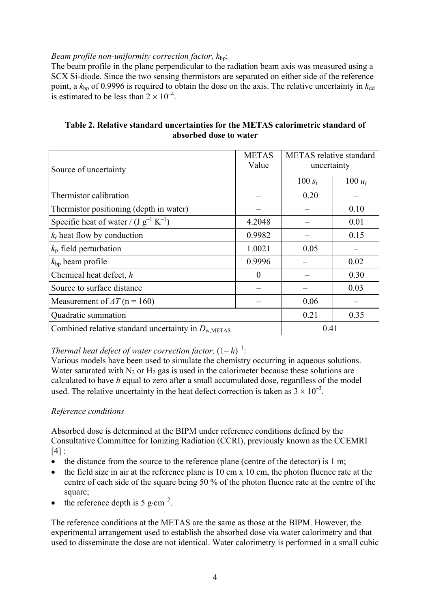## *Beam profile non-uniformity correction factor,*  $k_{\text{bn}}$ *:*

The beam profile in the plane perpendicular to the radiation beam axis was measured using a SCX Si-diode. Since the two sensing thermistors are separated on either side of the reference point, a  $k_{\text{bp}}$  of 0.9996 is required to obtain the dose on the axis. The relative uncertainty in  $k_{\text{dd}}$ is estimated to be less than  $2 \times 10^{-4}$ .

## **Table 2. Relative standard uncertainties for the METAS calorimetric standard of absorbed dose to water**

| Source of uncertainty                                          | <b>METAS</b><br>Value | <b>METAS</b> relative standard<br>uncertainty |           |
|----------------------------------------------------------------|-----------------------|-----------------------------------------------|-----------|
|                                                                |                       | 100 $s_i$                                     | 100 $u_i$ |
| Thermistor calibration                                         |                       | 0.20                                          |           |
| Thermistor positioning (depth in water)                        |                       |                                               | 0.10      |
| Specific heat of water / $(J g^{-1} K^{-1})$                   | 4.2048                |                                               | 0.01      |
| $k_c$ heat flow by conduction                                  | 0.9982                |                                               | 0.15      |
| $k_{\rm p}$ field perturbation                                 | 1.0021                | 0.05                                          |           |
| $k_{\text{bp}}$ beam profile                                   | 0.9996                |                                               | 0.02      |
| Chemical heat defect, h                                        | $\theta$              |                                               | 0.30      |
| Source to surface distance                                     |                       |                                               | 0.03      |
| Measurement of $\Delta T$ (n = 160)                            |                       | 0.06                                          |           |
| Quadratic summation                                            |                       | 0.21                                          | 0.35      |
| Combined relative standard uncertainty in $D_{\text{w,METAS}}$ |                       | 0.41                                          |           |

## *Thermal heat defect of water correction factor,*  $(1-h)^{-1}$ :

Various models have been used to simulate the chemistry occurring in aqueous solutions. Water saturated with  $N_2$  or  $H_2$  gas is used in the calorimeter because these solutions are calculated to have *h* equal to zero after a small accumulated dose, regardless of the model used. The relative uncertainty in the heat defect correction is taken as  $3 \times 10^{-3}$ .

## *Reference conditions*

Absorbed dose is determined at the BIPM under reference conditions defined by the Consultative Committee for Ionizing Radiation (CCRI), previously known as the CCEMRI  $\lceil 4 \rceil$  :

- the distance from the source to the reference plane (centre of the detector) is 1 m;
- the field size in air at the reference plane is 10 cm x 10 cm, the photon fluence rate at the centre of each side of the square being 50 % of the photon fluence rate at the centre of the square;
- the reference depth is 5 g⋅cm<sup>-2</sup>.

The reference conditions at the METAS are the same as those at the BIPM. However, the experimental arrangement used to establish the absorbed dose via water calorimetry and that used to disseminate the dose are not identical. Water calorimetry is performed in a small cubic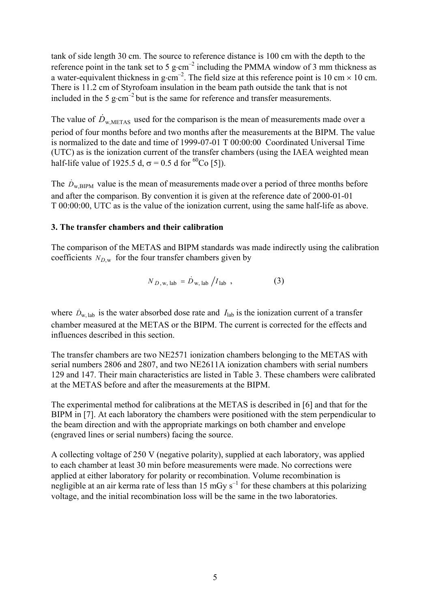tank of side length 30 cm. The source to reference distance is 100 cm with the depth to the reference point in the tank set to 5 g⋅cm<sup>-2</sup> including the PMMA window of 3 mm thickness as a water-equivalent thickness in g⋅cm<sup>-2</sup>. The field size at this reference point is 10 cm  $\times$  10 cm. There is 11.2 cm of Styrofoam insulation in the beam path outside the tank that is not included in the 5 g⋅cm<sup>-2</sup> but is the same for reference and transfer measurements.

The value of  $\dot{D}_{\text{w METAS}}$  used for the comparison is the mean of measurements made over a period of four months before and two months after the measurements at the BIPM. The value is normalized to the date and time of 1999-07-01 T 00:00:00 Coordinated Universal Time (UTC) as is the ionization current of the transfer chambers (using the IAEA weighted mean half-life value of 1925.5 d,  $\sigma$  = 0.5 d for <sup>60</sup>Co [5]).

The  $\dot{D}_{\text{w,BIPM}}$  value is the mean of measurements made over a period of three months before and after the comparison. By convention it is given at the reference date of 2000-01-01 T 00:00:00, UTC as is the value of the ionization current, using the same half-life as above.

#### **3. The transfer chambers and their calibration**

The comparison of the METAS and BIPM standards was made indirectly using the calibration coefficients  $N_{D,w}$  for the four transfer chambers given by

$$
N_{D, w, lab} = \dot{D}_{w, lab} / I_{lab} \tag{3}
$$

where  $\dot{D}_{w, \text{lab}}$  is the water absorbed dose rate and  $I_{\text{lab}}$  is the ionization current of a transfer chamber measured at the METAS or the BIPM. The current is corrected for the effects and influences described in this section.

The transfer chambers are two NE2571 ionization chambers belonging to the METAS with serial numbers 2806 and 2807, and two NE2611A ionization chambers with serial numbers 129 and 147. Their main characteristics are listed in Table 3. These chambers were calibrated at the METAS before and after the measurements at the BIPM.

The experimental method for calibrations at the METAS is described in [6] and that for the BIPM in [7]. At each laboratory the chambers were positioned with the stem perpendicular to the beam direction and with the appropriate markings on both chamber and envelope (engraved lines or serial numbers) facing the source.

A collecting voltage of 250 V (negative polarity), supplied at each laboratory, was applied to each chamber at least 30 min before measurements were made. No corrections were applied at either laboratory for polarity or recombination. Volume recombination is negligible at an air kerma rate of less than 15 mGy  $s^{-1}$  for these chambers at this polarizing voltage, and the initial recombination loss will be the same in the two laboratories.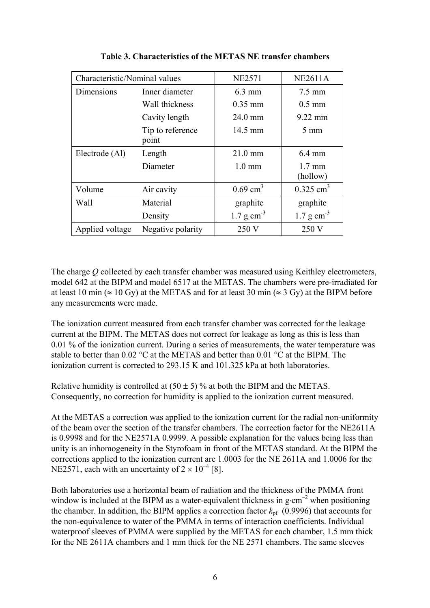| Characteristic/Nominal values |                           | <b>NE2571</b>           | <b>NE2611A</b>               |
|-------------------------------|---------------------------|-------------------------|------------------------------|
| Dimensions                    | Inner diameter            | $6.3 \text{ mm}$        | $7.5 \text{ mm}$             |
|                               | Wall thickness            | $0.35$ mm               | $0.5 \text{ mm}$             |
|                               | Cavity length             | 24.0 mm                 | $9.22$ mm                    |
|                               | Tip to reference<br>point | 14.5 mm                 | $5 \text{ mm}$               |
| Electrode (Al)                | Length                    | $21.0 \text{ mm}$       | $6.4 \text{ mm}$             |
|                               | Diameter                  | $1.0 \text{ mm}$        | $1.7 \text{ mm}$<br>(hollow) |
| Volume                        | Air cavity                | $0.69$ cm <sup>3</sup>  | $0.325$ cm <sup>3</sup>      |
| Wall                          | Material                  | graphite                | graphite                     |
|                               | Density                   | $1.7 \text{ g cm}^{-3}$ | $1.7 g cm-3$                 |
| Applied voltage               | Negative polarity         | 250 V                   | 250 V                        |

| Table 3. Characteristics of the METAS NE transfer chambers |  |  |  |
|------------------------------------------------------------|--|--|--|
|                                                            |  |  |  |

The charge *Q* collected by each transfer chamber was measured using Keithley electrometers, model 642 at the BIPM and model 6517 at the METAS. The chambers were pre-irradiated for at least 10 min ( $\approx 10$  Gy) at the METAS and for at least 30 min ( $\approx 3$  Gy) at the BIPM before any measurements were made.

The ionization current measured from each transfer chamber was corrected for the leakage current at the BIPM. The METAS does not correct for leakage as long as this is less than 0.01 % of the ionization current. During a series of measurements, the water temperature was stable to better than  $0.02 \degree C$  at the METAS and better than  $0.01 \degree C$  at the BIPM. The ionization current is corrected to 293.15 K and 101.325 kPa at both laboratories.

Relative humidity is controlled at  $(50 \pm 5)$ % at both the BIPM and the METAS. Consequently, no correction for humidity is applied to the ionization current measured.

At the METAS a correction was applied to the ionization current for the radial non-uniformity of the beam over the section of the transfer chambers. The correction factor for the NE2611A is 0.9998 and for the NE2571A 0.9999. A possible explanation for the values being less than unity is an inhomogeneity in the Styrofoam in front of the METAS standard. At the BIPM the corrections applied to the ionization current are 1.0003 for the NE 2611A and 1.0006 for the NE2571, each with an uncertainty of  $2 \times 10^{-4}$  [8].

Both laboratories use a horizontal beam of radiation and the thickness of the PMMA front window is included at the BIPM as a water-equivalent thickness in g⋅cm<sup>-2</sup> when positioning the chamber. In addition, the BIPM applies a correction factor  $k_{pf}$  (0.9996) that accounts for the non-equivalence to water of the PMMA in terms of interaction coefficients. Individual waterproof sleeves of PMMA were supplied by the METAS for each chamber, 1.5 mm thick for the NE 2611A chambers and 1 mm thick for the NE 2571 chambers. The same sleeves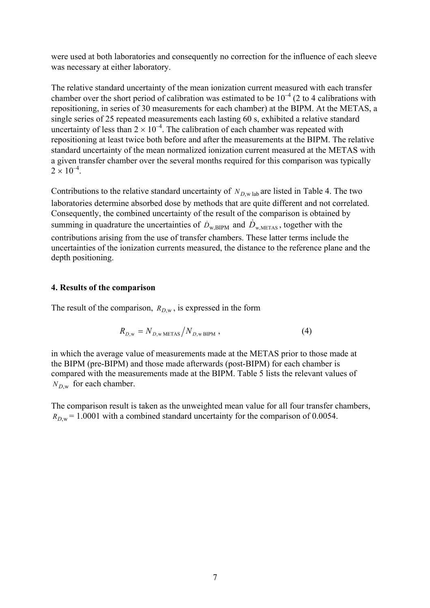were used at both laboratories and consequently no correction for the influence of each sleeve was necessary at either laboratory.

The relative standard uncertainty of the mean ionization current measured with each transfer chamber over the short period of calibration was estimated to be  $10^{-4}$  (2 to 4 calibrations with repositioning, in series of 30 measurements for each chamber) at the BIPM. At the METAS, a single series of 25 repeated measurements each lasting 60 s, exhibited a relative standard uncertainty of less than  $2 \times 10^{-4}$ . The calibration of each chamber was repeated with repositioning at least twice both before and after the measurements at the BIPM. The relative standard uncertainty of the mean normalized ionization current measured at the METAS with a given transfer chamber over the several months required for this comparison was typically  $2 \times 10^{-4}$ 

Contributions to the relative standard uncertainty of  $N_{D,w}$  lab are listed in Table 4. The two laboratories determine absorbed dose by methods that are quite different and not correlated. Consequently, the combined uncertainty of the result of the comparison is obtained by summing in quadrature the uncertainties of  $\dot{D}_{w, BIPM}$  and  $\dot{D}_{w, METAS}$ , together with the contributions arising from the use of transfer chambers. These latter terms include the uncertainties of the ionization currents measured, the distance to the reference plane and the depth positioning.

#### **4. Results of the comparison**

The result of the comparison,  $R_{D,w}$ , is expressed in the form

$$
R_{D,\mathbf{w}} = N_{D,\mathbf{w}\,\text{METAS}} / N_{D,\mathbf{w}\,\text{BIPM}} \,, \tag{4}
$$

in which the average value of measurements made at the METAS prior to those made at the BIPM (pre-BIPM) and those made afterwards (post-BIPM) for each chamber is compared with the measurements made at the BIPM. Table 5 lists the relevant values of  $N_{D,w}$  for each chamber.

The comparison result is taken as the unweighted mean value for all four transfer chambers,  $R_{Dw}$  = 1.0001 with a combined standard uncertainty for the comparison of 0.0054.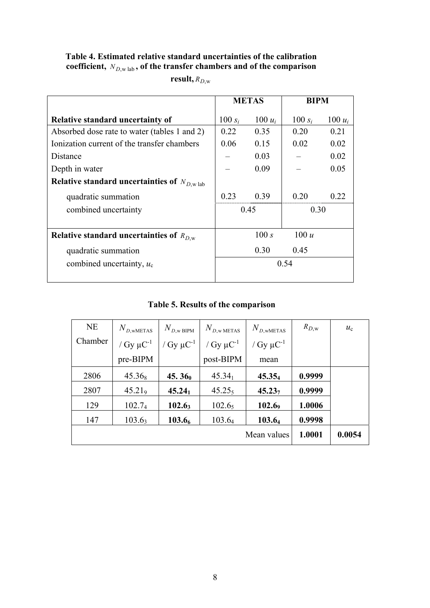# **Table 4. Estimated relative standard uncertainties of the calibration coefficient,** *N <sup>D</sup>*,w lab **, of the transfer chambers and of the comparison**

 $result, R_{D,w}$ 

|                                                         | <b>METAS</b> |           | <b>BIPM</b> |           |  |
|---------------------------------------------------------|--------------|-----------|-------------|-----------|--|
| Relative standard uncertainty of                        | 100 $s_i$    | $100 u_i$ | 100 $s_i$   | 100 $u_i$ |  |
| Absorbed dose rate to water (tables 1 and 2)            | 0.22         | 0.35      | 0.20        | 0.21      |  |
| Ionization current of the transfer chambers             | 0.06         | 0.15      | 0.02        | 0.02      |  |
| Distance                                                |              | 0.03      |             | 0.02      |  |
| Depth in water                                          |              | 0.09      |             | 0.05      |  |
| Relative standard uncertainties of $N_{D,\text{w lab}}$ |              |           |             |           |  |
| quadratic summation                                     | 0.23         | 0.39      | 0.20        | 0.22      |  |
| combined uncertainty                                    | 0.45         |           |             | 0.30      |  |
| Relative standard uncertainties of $R_{D,w}$            |              | 100 s     | 100 u       |           |  |
| quadratic summation                                     |              | 0.30      | 0.45        |           |  |
| combined uncertainty, $u_c$                             | 0.54         |           |             |           |  |
|                                                         |              |           |             |           |  |

# **Table 5. Results of the comparison**

| <b>NE</b> | $N_{D,\text{wMETAS}}$ | $N_{D,w\text{-}BIPM}$      | $N_{D,\mathrm{w\,METAS}}$  | $N_{D,\text{wMETAS}}$      | $R_{D,\mathrm{w}}$ | $u_{c}$ |
|-----------|-----------------------|----------------------------|----------------------------|----------------------------|--------------------|---------|
| Chamber   | / $Gy \mu C^{-1}$     | / Gy $\mu$ C <sup>-1</sup> | / Gy $\mu$ C <sup>-1</sup> | / Gy $\mu$ C <sup>-1</sup> |                    |         |
|           | pre-BIPM              |                            | post-BIPM                  | mean                       |                    |         |
| 2806      | $45.36_8$             | 45.36 <sub>0</sub>         | $45.34_1$                  | $45.35_4$                  | 0.9999             |         |
| 2807      | 45.21 <sub>9</sub>    | $45.24_1$                  | 45.25 <sub>5</sub>         | $45.23_7$                  | 0.9999             |         |
| 129       | 102.7 <sub>4</sub>    | $102.6_3$                  | 102.6 <sub>5</sub>         | 102.69                     | 1.0006             |         |
| 147       | $103.6_3$             | 103.6 <sub>6</sub>         | 103.64                     | 103.64                     | 0.9998             |         |
|           |                       |                            |                            | Mean values                | 1.0001             | 0.0054  |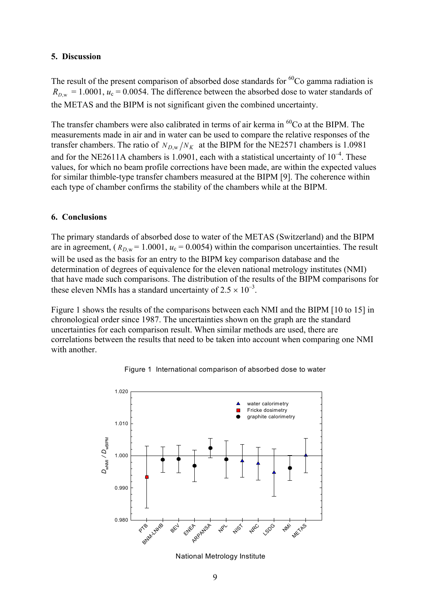## **5. Discussion**

The result of the present comparison of absorbed dose standards for  ${}^{60}Co$  gamma radiation is  $R_{D,w} = 1.0001$ ,  $u_c = 0.0054$ . The difference between the absorbed dose to water standards of the METAS and the BIPM is not significant given the combined uncertainty.

The transfer chambers were also calibrated in terms of air kerma in  ${}^{60}Co$  at the BIPM. The measurements made in air and in water can be used to compare the relative responses of the transfer chambers. The ratio of  $N_{D,w}/N_K$  at the BIPM for the NE2571 chambers is 1.0981 and for the NE2611A chambers is 1.0901, each with a statistical uncertainty of  $10^{-4}$ . These values, for which no beam profile corrections have been made, are within the expected values for similar thimble-type transfer chambers measured at the BIPM [9]. The coherence within each type of chamber confirms the stability of the chambers while at the BIPM.

## **6. Conclusions**

The primary standards of absorbed dose to water of the METAS (Switzerland) and the BIPM are in agreement,  $(R_{D,w} = 1.0001, u_c = 0.0054)$  within the comparison uncertainties. The result will be used as the basis for an entry to the BIPM key comparison database and the determination of degrees of equivalence for the eleven national metrology institutes (NMI) that have made such comparisons. The distribution of the results of the BIPM comparisons for these eleven NMIs has a standard uncertainty of  $2.5 \times 10^{-3}$ .

Figure 1 shows the results of the comparisons between each NMI and the BIPM [10 to 15] in chronological order since 1987. The uncertainties shown on the graph are the standard uncertainties for each comparison result. When similar methods are used, there are correlations between the results that need to be taken into account when comparing one NMI with another.



Figure 1 International comparison of absorbed dose to water

National Metrology Institute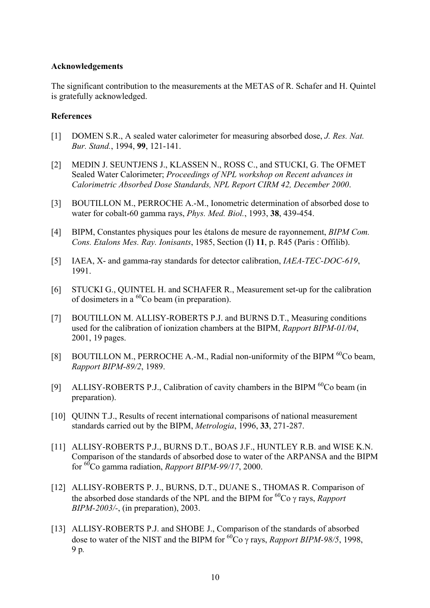#### **Acknowledgements**

The significant contribution to the measurements at the METAS of R. Schafer and H. Quintel is gratefully acknowledged.

## **References**

- [1] DOMEN S.R., A sealed water calorimeter for measuring absorbed dose, *J. Res. Nat. Bur. Stand.*, 1994, **99**, 121-141.
- [2] MEDIN J. SEUNTJENS J., KLASSEN N., ROSS C., and STUCKI, G. The OFMET Sealed Water Calorimeter; *Proceedings of NPL workshop on Recent advances in Calorimetric Absorbed Dose Standards, NPL Report CIRM 42, December 2000*.
- [3] BOUTILLON M., PERROCHE A.-M., Ionometric determination of absorbed dose to water for cobalt-60 gamma rays, *Phys. Med. Biol.*, 1993, **38**, 439-454.
- [4] BIPM, Constantes physiques pour les étalons de mesure de rayonnement, *BIPM Com. Cons. Etalons Mes. Ray. Ionisants*, 1985, Section (I) **11**, p. R45 (Paris : Offilib).
- [5] IAEA, X- and gamma-ray standards for detector calibration, *IAEA-TEC-DOC-619*, 1991.
- [6] STUCKI G., QUINTEL H. and SCHAFER R., Measurement set-up for the calibration of dosimeters in a  ${}^{60}Co$  beam (in preparation).
- [7] BOUTILLON M. ALLISY-ROBERTS P.J. and BURNS D.T., Measuring conditions used for the calibration of ionization chambers at the BIPM, *Rapport BIPM-01/04*, 2001, 19 pages.
- [8] BOUTILLON M., PERROCHE A.-M., Radial non-uniformity of the BIPM  $^{60}$ Co beam, *Rapport BIPM-89/2*, 1989.
- [9] ALLISY-ROBERTS P.J., Calibration of cavity chambers in the BIPM  ${}^{60}$ Co beam (in preparation).
- [10] QUINN T.J., Results of recent international comparisons of national measurement standards carried out by the BIPM, *Metrologia*, 1996, **33**, 271-287.
- [11] ALLISY-ROBERTS P.J., BURNS D.T., BOAS J.F., HUNTLEY R.B. and WISE K.N. Comparison of the standards of absorbed dose to water of the ARPANSA and the BIPM for 60Co gamma radiation, *Rapport BIPM-99/17*, 2000.
- [12] ALLISY-ROBERTS P. J., BURNS, D.T., DUANE S., THOMAS R. Comparison of the absorbed dose standards of the NPL and the BIPM for  ${}^{60}Co$   $\gamma$  rays, *Rapport BIPM-2003/-*, (in preparation), 2003.
- [13] ALLISY-ROBERTS P.J. and SHOBE J., Comparison of the standards of absorbed dose to water of the NIST and the BIPM for  ${}^{60}Co$   $\gamma$  rays, *Rapport BIPM-98/5*, 1998, 9 p*.*